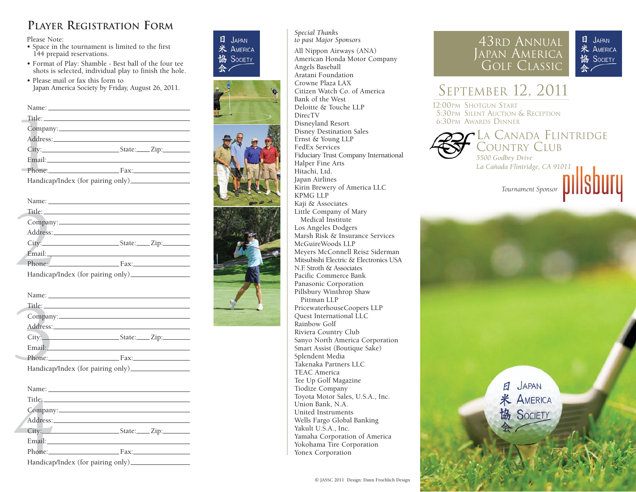# **PLAYER REGISTRATION FORM**

Please Note:

- Space in the tournament is limited to the first 144 prepaid reservations.
- Format of Play: Shamble Best ball of the four tee shots is selected, individual play to finish the hole.
- Please mail or fax this form to Japan America Society by Friday, August 26, 2011.

| Phone: Fax: |
|-------------|

| Company:                          |             |
|-----------------------------------|-------------|
| Address: No. 1998                 |             |
|                                   |             |
|                                   |             |
|                                   | Phone: Fax: |
| Handican/Index (for pairing only) |             |

| Phone: Fax: |
|-------------|
|             |

| Title: The contract of the contract of the contract of the contract of the contract of the contract of the contract of the contract of the contract of the contract of the contract of the contract of the contract of the con |                                                                                                                                                                                                                                |  |
|--------------------------------------------------------------------------------------------------------------------------------------------------------------------------------------------------------------------------------|--------------------------------------------------------------------------------------------------------------------------------------------------------------------------------------------------------------------------------|--|
|                                                                                                                                                                                                                                |                                                                                                                                                                                                                                |  |
|                                                                                                                                                                                                                                | Address: No. 1998. The Contract of the Contract of the Contract of the Contract of the Contract of the Contract of the Contract of the Contract of the Contract of the Contract of the Contract of the Contract of the Contrac |  |
|                                                                                                                                                                                                                                |                                                                                                                                                                                                                                |  |
|                                                                                                                                                                                                                                | Email: Email:                                                                                                                                                                                                                  |  |
|                                                                                                                                                                                                                                | Phone: Fax:                                                                                                                                                                                                                    |  |
|                                                                                                                                                                                                                                |                                                                                                                                                                                                                                |  |
|                                                                                                                                                                                                                                |                                                                                                                                                                                                                                |  |
|                                                                                                                                                                                                                                |                                                                                                                                                                                                                                |  |
|                                                                                                                                                                                                                                |                                                                                                                                                                                                                                |  |
|                                                                                                                                                                                                                                |                                                                                                                                                                                                                                |  |
|                                                                                                                                                                                                                                | Address: No. 1998. The Second State of the Second State of the Second State of the Second State of the Second State of the Second State of the Second State of the Second State of the Second State of the Second State of the |  |
|                                                                                                                                                                                                                                | $City:$ $Subset:$ $Zip:$                                                                                                                                                                                                       |  |
|                                                                                                                                                                                                                                | Email: Email: and the contract of the contract of the contract of the contract of the contract of the contract of the contract of the contract of the contract of the contract of the contract of the contract of the contract |  |
|                                                                                                                                                                                                                                | Phone: Fax:                                                                                                                                                                                                                    |  |
|                                                                                                                                                                                                                                | Handicap/Index (for pairing only)                                                                                                                                                                                              |  |
|                                                                                                                                                                                                                                |                                                                                                                                                                                                                                |  |
|                                                                                                                                                                                                                                |                                                                                                                                                                                                                                |  |
|                                                                                                                                                                                                                                |                                                                                                                                                                                                                                |  |
|                                                                                                                                                                                                                                |                                                                                                                                                                                                                                |  |
|                                                                                                                                                                                                                                |                                                                                                                                                                                                                                |  |
|                                                                                                                                                                                                                                |                                                                                                                                                                                                                                |  |
|                                                                                                                                                                                                                                |                                                                                                                                                                                                                                |  |
|                                                                                                                                                                                                                                | Phone: Fax:                                                                                                                                                                                                                    |  |
|                                                                                                                                                                                                                                | Handicap/Index (for pairing only)                                                                                                                                                                                              |  |



*Special Thanks to past Major Sponsors* All Nippon Airways (ANA) American Honda Motor Company Angels Baseball Aratani Foundation Crowne Plaza LAX Citizen Watch Co. of America Bank of the West Deloitte & Touche LLP DirecTV Disneyland Resort Disney Destination Sales Ernst & Young LLP FedEx Services Fiduciary Trust Company International Halper Fine Arts Hitachi, Ltd. Japan Airlines Kirin Brewery of America LLC KPMG LLP Kaji & Associates Little Company of Mary Medical Institute Los Angeles Dodgers Marsh Risk & Insurance Services McGuireWoods LLP Meyers McConnell Reisz Siderman Mitsubishi Electric & Electronics USA N.F. Stroth & Associates Pacific Commerce Bank Panasonic Corporation Pillsbury Winthrop Shaw Pittman LLP PricewaterhouseCoopers LLP Quest International LLC Rainbow Golf Riviera Country Club Sanyo North America Corporation Smart Assist (Boutique Sake) Splendent Media Takenaka Partners LLC TEAC America Tee Up Golf Magazine Tiodize Company Toyota Motor Sales, U.S.A., Inc. Union Bank, N.A. United Instruments Wells Fargo Global Banking Yakult U.S.A., Inc. Yamaha Corporation of America Yokohama Tire Corporation Yonex Corporation

## 43RD ANNUAL JAPAN AMERICA GOLF CLASSIC



# SEPTEMBER 12, 2011

12:00PM SHOTGUN START 5:30PM SILENT AUCTION & RECEPTION 6:30PM AWARDS DINNER



*Tournament Sponsor*

JAPAN 日 **米 AMERICA** 協 SOCIETY